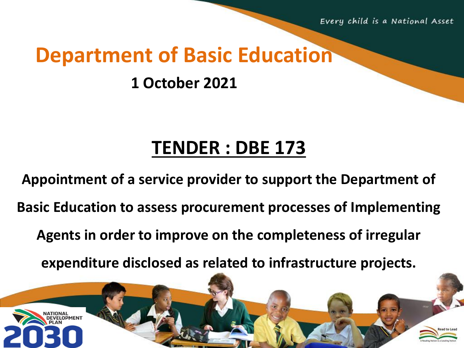Every child is a National Asset

### **Department of Basic Education**

#### **1 October 2021**

## **TENDER : DBE 173**

**Appointment of a service provider to support the Department of Basic Education to assess procurement processes of Implementing Agents in order to improve on the completeness of irregular** 

**expenditure disclosed as related to infrastructure projects.**

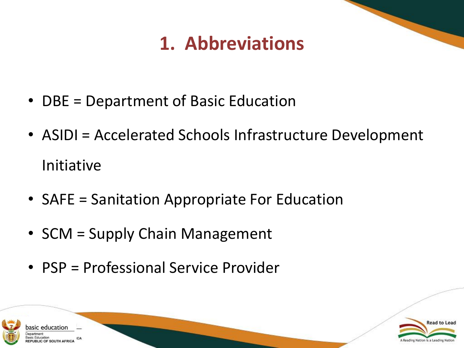## **1. Abbreviations**

- DBE = Department of Basic Education
- ASIDI = Accelerated Schools Infrastructure Development Initiative
- SAFE = Sanitation Appropriate For Education
- SCM = Supply Chain Management
- PSP = Professional Service Provider



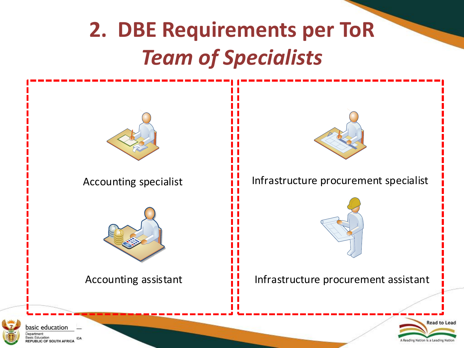# **2. DBE Requirements per ToR** *Team of Specialists*





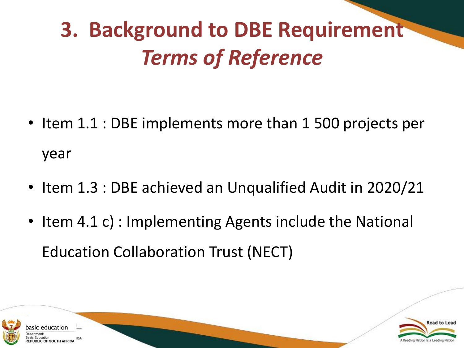# **3. Background to DBE Requirement** *Terms of Reference*

- Item 1.1 : DBE implements more than 1 500 projects per year
- Item 1.3 : DBE achieved an Unqualified Audit in 2020/21
- Item 4.1 c) : Implementing Agents include the National Education Collaboration Trust (NECT)



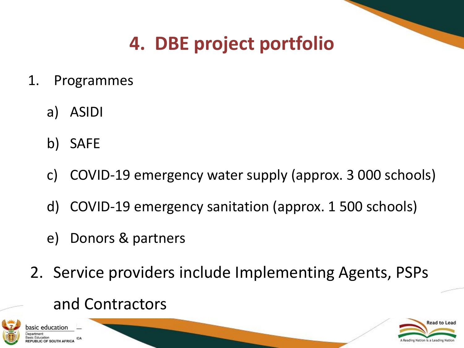## **4. DBE project portfolio**

- 1. Programmes
	- a) ASIDI
	- b) SAFE
	- c) COVID-19 emergency water supply (approx. 3 000 schools)
	- d) COVID-19 emergency sanitation (approx. 1 500 schools)
	- e) Donors & partners
- 2. Service providers include Implementing Agents, PSPs

#### and Contractors



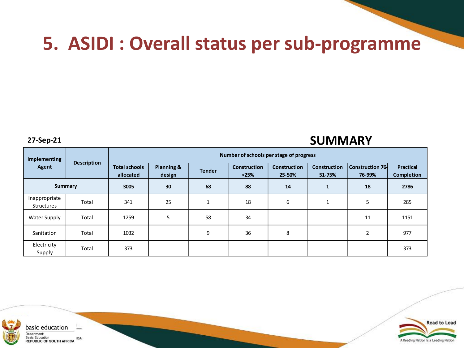#### **5. ASIDI : Overall status per sub-programme**

#### **27-Sep-21 SUMMARY**

| Implementing<br>Agent              | <b>Description</b> | Number of schools per stage of progress |                      |               |                              |                               |                               |                                   |                                |  |
|------------------------------------|--------------------|-----------------------------------------|----------------------|---------------|------------------------------|-------------------------------|-------------------------------|-----------------------------------|--------------------------------|--|
|                                    |                    | <b>Total schools</b><br>allocated       | Planning &<br>design | <b>Tender</b> | <b>Construction</b><br>$25%$ | <b>Construction</b><br>25-50% | <b>Construction</b><br>51-75% | <b>Construction 76-</b><br>76-99% | <b>Practical</b><br>Completion |  |
| <b>Summary</b>                     |                    | 3005                                    | 30                   | 68            | 88                           | 14                            | $\mathbf{1}$                  | 18                                | 2786                           |  |
| Inappropriate<br><b>Structures</b> | Total              | 341                                     | 25                   | $\mathbf{1}$  | 18                           | 6                             | 1                             | 5                                 | 285                            |  |
| Water Supply                       | Total              | 1259                                    | 5                    | 58            | 34                           |                               |                               | 11                                | 1151                           |  |
| Sanitation                         | Total              | 1032                                    |                      | 9             | 36                           | 8                             |                               | 2                                 | 977                            |  |
| Electricity<br>Supply              | Total              | 373                                     |                      |               |                              |                               |                               |                                   | 373                            |  |



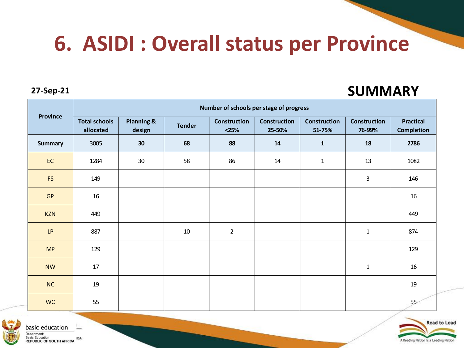# **6. ASIDI : Overall status per Province**

#### **27-Sep-21 SUMMARY**

| <b>Province</b> | Number of schools per stage of progress |                                 |               |                                |                               |                               |                               |                                       |  |  |
|-----------------|-----------------------------------------|---------------------------------|---------------|--------------------------------|-------------------------------|-------------------------------|-------------------------------|---------------------------------------|--|--|
|                 | <b>Total schools</b><br>allocated       | <b>Planning &amp;</b><br>design | <b>Tender</b> | <b>Construction</b><br>$<$ 25% | <b>Construction</b><br>25-50% | <b>Construction</b><br>51-75% | <b>Construction</b><br>76-99% | <b>Practical</b><br><b>Completion</b> |  |  |
| <b>Summary</b>  | 3005                                    | 30                              | 68            | 88                             | 14                            | $\mathbf{1}$                  | 18                            | 2786                                  |  |  |
| <b>EC</b>       | 1284                                    | 30                              | 58            | 86                             | 14                            | $\mathbf{1}$                  | 13                            | 1082                                  |  |  |
| <b>FS</b>       | 149                                     |                                 |               |                                |                               |                               | 3                             | 146                                   |  |  |
| <b>GP</b>       | 16                                      |                                 |               |                                |                               |                               |                               | 16                                    |  |  |
| <b>KZN</b>      | 449                                     |                                 |               |                                |                               |                               |                               | 449                                   |  |  |
| LP              | 887                                     |                                 | 10            | $\overline{2}$                 |                               |                               | $\mathbf{1}$                  | 874                                   |  |  |
| MP              | 129                                     |                                 |               |                                |                               |                               |                               | 129                                   |  |  |
| <b>NW</b>       | 17                                      |                                 |               |                                |                               |                               | $\mathbf{1}$                  | 16                                    |  |  |
| NC              | 19                                      |                                 |               |                                |                               |                               |                               | 19                                    |  |  |
| <b>WC</b>       | 55                                      |                                 |               |                                |                               |                               |                               | 55 <sub>°</sub>                       |  |  |



basic education Department: **Basic Education** Basic Education<br>REPUBLIC OF SOUTH AFRICA

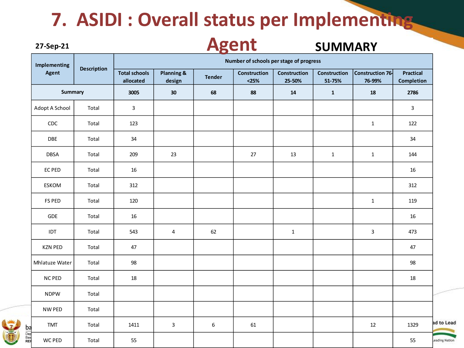### **7. ASIDI : Overall status per Implementing**

#### **Agent27-Sep-21 SUMMARY Number of schools per stage of progress Implementing Description Construction Construction 76- Total schools Planning & Construction Practical Agent design Tender Construction allocated <25% 25-50% 51-75% 76-99% Completion Summary 3005 30 68 88 14 1 18 2786** Adopt A School Total 3 3 CDC Total 123 1 122 DBE | Total | 34 | | | | | | | | | 34 DBSA | Total | 209 | 23 | | 27 | 13 | 1 | 1 | 1 | 144 EC PED | Total | 16 | | | | | | | | | | | | 16 ESKOM | Total | 312 | | | | | | | | | | | | | FS PED | Total | 120 | | | | | | | | 119 GDE | Total | 16 | | | | | | | | 16 IDT | Total | 543 | 4 | 62 | | 1 | | 3 | 473 KZN PED | Total | 47 | | | | | | | | | | | | | | | 47 Mhlatuze Water Total 98 98 NC PED | Total | 18 | | | | | | | | | | | | | 18 NDPW Total NW PED Total ad to Lead TMT | Total | 1411 | 3 | 6 | 61 | | | 12 | 1329 Bas<br>REI

WC PED | Total | 55 | | | | | | | | | | | | | 55

eading Nation

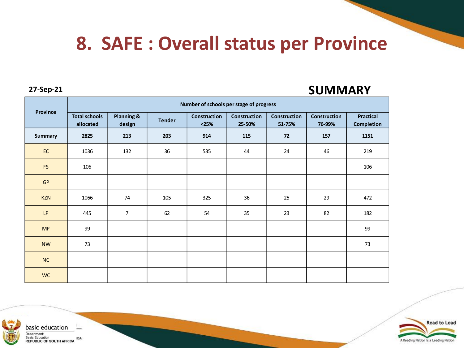#### **8. SAFE : Overall status per Province**

#### **27-Sep-21 SUMMARY**

| <b>Province</b> | Number of schools per stage of progress |                      |               |                         |                               |                               |                               |                                       |  |  |
|-----------------|-----------------------------------------|----------------------|---------------|-------------------------|-------------------------------|-------------------------------|-------------------------------|---------------------------------------|--|--|
|                 | <b>Total schools</b><br>allocated       | Planning &<br>design | <b>Tender</b> | Construction<br>$<$ 25% | <b>Construction</b><br>25-50% | <b>Construction</b><br>51-75% | <b>Construction</b><br>76-99% | <b>Practical</b><br><b>Completion</b> |  |  |
| Summary         | 2825                                    | 213                  | 203           | 914                     | 115                           | 72                            | 157                           | 1151                                  |  |  |
| EC              | 1036                                    | 132                  | 36            | 535                     | 44                            | 24                            | 46                            | 219                                   |  |  |
| <b>FS</b>       | 106                                     |                      |               |                         |                               |                               |                               | 106                                   |  |  |
| GP              |                                         |                      |               |                         |                               |                               |                               |                                       |  |  |
| <b>KZN</b>      | 1066                                    | 74                   | 105           | 325                     | 36                            | 25                            | 29                            | 472                                   |  |  |
| LP              | 445                                     | $\overline{7}$       | 62            | 54                      | 35                            | 23                            | 82                            | 182                                   |  |  |
| <b>MP</b>       | 99                                      |                      |               |                         |                               |                               |                               | 99                                    |  |  |
| <b>NW</b>       | 73                                      |                      |               |                         |                               |                               |                               | 73                                    |  |  |
| NC              |                                         |                      |               |                         |                               |                               |                               |                                       |  |  |
| <b>WC</b>       |                                         |                      |               |                         |                               |                               |                               |                                       |  |  |



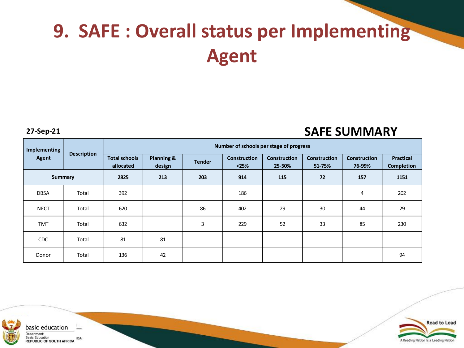# **9. SAFE : Overall status per Implementing Agent**

**27-Sep-21 SAFE SUMMARY**

| Implementing<br>Agent | <b>Description</b> | Number of schools per stage of progress |                      |               |                              |                               |                               |                               |                                       |  |
|-----------------------|--------------------|-----------------------------------------|----------------------|---------------|------------------------------|-------------------------------|-------------------------------|-------------------------------|---------------------------------------|--|
|                       |                    | <b>Total schools</b><br>allocated       | Planning &<br>design | <b>Tender</b> | <b>Construction</b><br>$25%$ | <b>Construction</b><br>25-50% | <b>Construction</b><br>51-75% | <b>Construction</b><br>76-99% | <b>Practical</b><br><b>Completion</b> |  |
| Summary               |                    | 2825                                    | 213                  | 203           | 914                          | 115                           | 72                            | 157                           | 1151                                  |  |
| <b>DBSA</b>           | Total              | 392                                     |                      |               | 186                          |                               |                               | 4                             | 202                                   |  |
| <b>NECT</b>           | Total              | 620                                     |                      | 86            | 402                          | 29                            | 30                            | 44                            | 29                                    |  |
| <b>TMT</b>            | Total              | 632                                     |                      | 3             | 229                          | 52                            | 33                            | 85                            | 230                                   |  |
| <b>CDC</b>            | Total              | 81                                      | 81                   |               |                              |                               |                               |                               |                                       |  |
| Donor                 | Total              | 136                                     | 42                   |               |                              |                               |                               |                               | 94                                    |  |



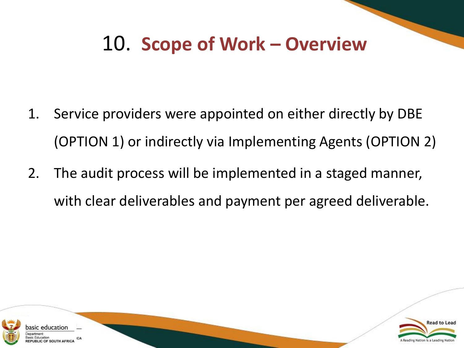## 10. **Scope of Work – Overview**

- 1. Service providers were appointed on either directly by DBE (OPTION 1) or indirectly via Implementing Agents (OPTION 2)
- 2. The audit process will be implemented in a staged manner, with clear deliverables and payment per agreed deliverable.



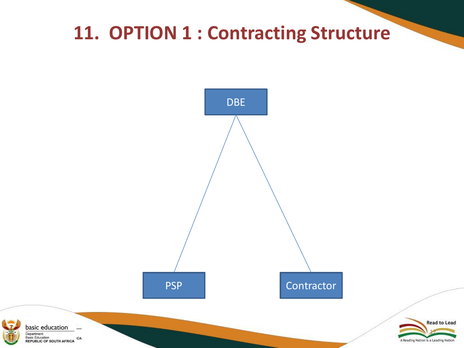## **11. OPTION 1 : Contracting Structure**

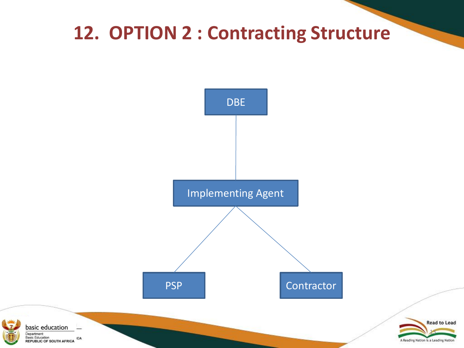### **12. OPTION 2 : Contracting Structure**



Department: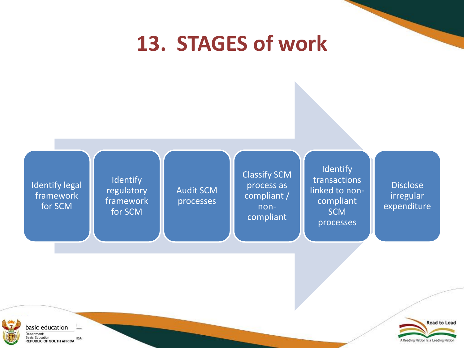# **13. STAGES of work**





basic education \_ Department: Basic Education<br>REPUBLIC OF SOUTH AFRICA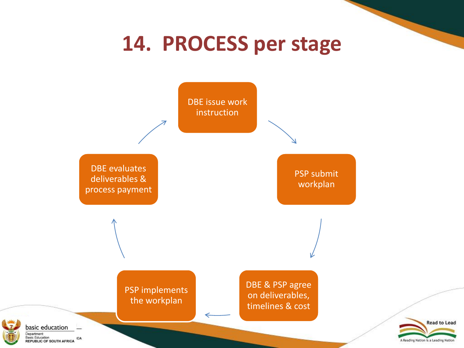# **14. PROCESS per stage**